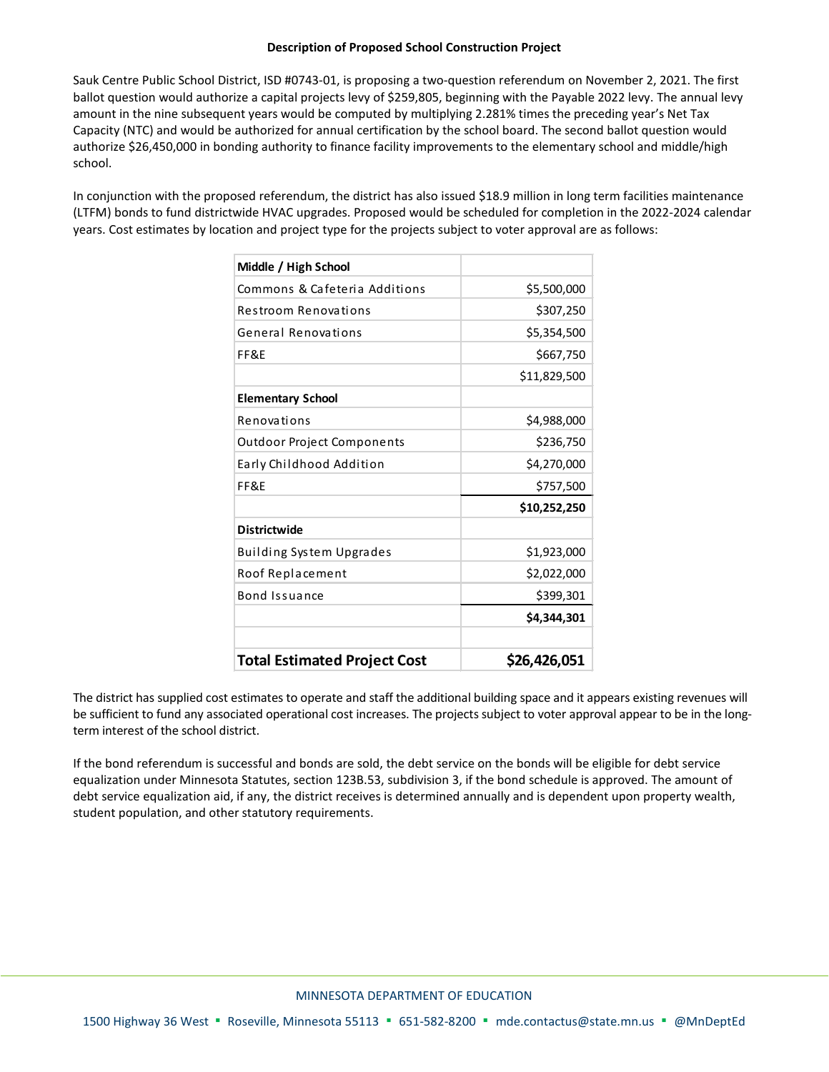## **Description of Proposed School Construction Project**

Sauk Centre Public School District, ISD #0743-01, is proposing a two-question referendum on November 2, 2021. The first ballot question would authorize a capital projects levy of \$259,805, beginning with the Payable 2022 levy. The annual levy amount in the nine subsequent years would be computed by multiplying 2.281% times the preceding year's Net Tax Capacity (NTC) and would be authorized for annual certification by the school board. The second ballot question would authorize \$26,450,000 in bonding authority to finance facility improvements to the elementary school and middle/high school.

In conjunction with the proposed referendum, the district has also issued \$18.9 million in long term facilities maintenance (LTFM) bonds to fund districtwide HVAC upgrades. Proposed would be scheduled for completion in the 2022-2024 calendar years. Cost estimates by location and project type for the projects subject to voter approval are as follows:

| <b>Total Estimated Project Cost</b> | \$26,426,051 |
|-------------------------------------|--------------|
|                                     | \$4,344,301  |
| Bond Issuance                       | \$399,301    |
| Roof Replacement                    | \$2,022,000  |
| Building System Upgrades            | \$1,923,000  |
| <b>Districtwide</b>                 |              |
|                                     | \$10,252,250 |
| FF&F                                | \$757,500    |
| Early Childhood Addition            | \$4,270,000  |
| Outdoor Project Components          | \$236,750    |
| Renovations                         | \$4,988,000  |
| <b>Elementary School</b>            |              |
|                                     | \$11,829,500 |
| FF&F                                | \$667,750    |
| General Renovations                 | \$5,354,500  |
| Restroom Renovations                | \$307,250    |
| Commons & Cafeteria Additions       | \$5,500,000  |
| Middle / High School                |              |

The district has supplied cost estimates to operate and staff the additional building space and it appears existing revenues will be sufficient to fund any associated operational cost increases. The projects subject to voter approval appear to be in the longterm interest of the school district.

If the bond referendum is successful and bonds are sold, the debt service on the bonds will be eligible for debt service equalization under Minnesota Statutes, section 123B.53, subdivision 3, if the bond schedule is approved. The amount of debt service equalization aid, if any, the district receives is determined annually and is dependent upon property wealth, student population, and other statutory requirements.

## MINNESOTA DEPARTMENT OF EDUCATION

1500 Highway 36 West ▪ Roseville, Minnesota 55113 ▪ 651-582-8200 ▪ [mde.contactus@state.mn.us](mailto:mde.contactus@state.mn.us) ▪ @MnDeptEd